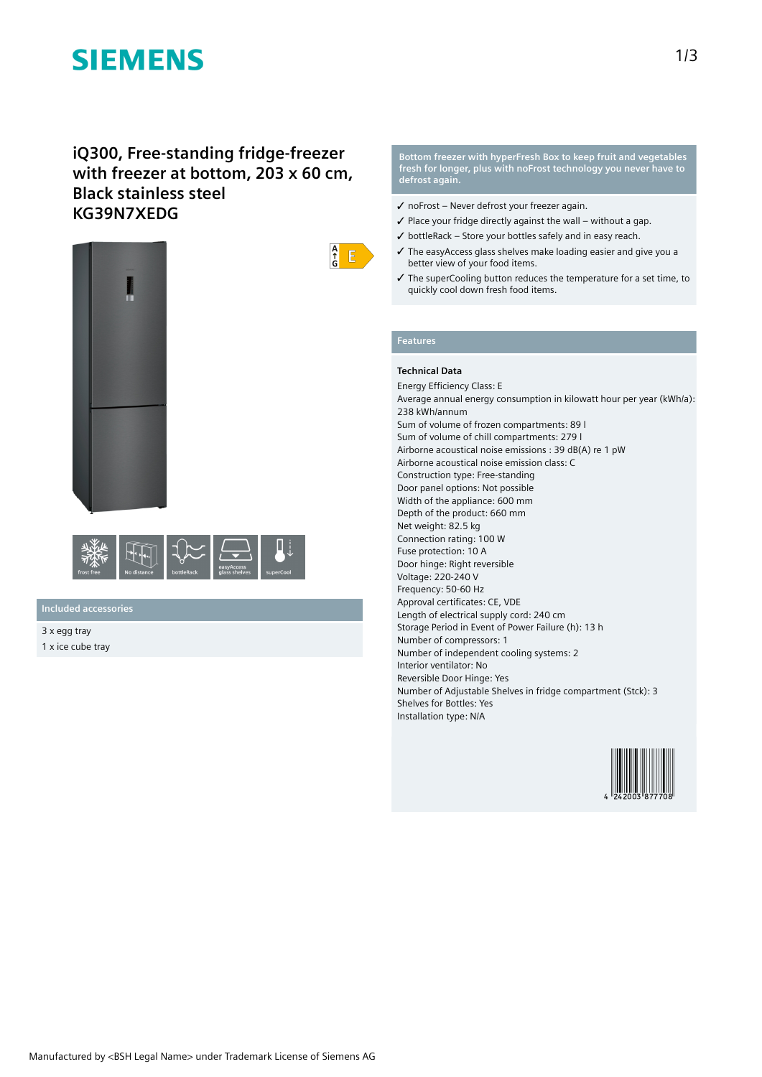# **SIEMENS**

## **iQ300, Free-standing fridge-freezer with freezer at bottom, 203 x 60 cm, Black stainless steel KG39N7XEDG**





**Included accessories**

3 x egg tray 1 x ice cube tray



- ✓ noFrost Never defrost your freezer again.
- $\checkmark$  Place your fridge directly against the wall without a gap.
- $\checkmark$  bottleRack Store your bottles safely and in easy reach.
- ✓ The easyAccess glass shelves make loading easier and give you a better view of your food items.
- ✓ The superCooling button reduces the temperature for a set time, to quickly cool down fresh food items.

#### **Features**

 $\frac{A}{f}$  $E$ 

#### **Technical Data**

Energy Efficiency Class: E Average annual energy consumption in kilowatt hour per year (kWh/a): 238 kWh/annum Sum of volume of frozen compartments: 89 l Sum of volume of chill compartments: 279 l Airborne acoustical noise emissions : 39 dB(A) re 1 pW Airborne acoustical noise emission class: C Construction type: Free-standing Door panel options: Not possible Width of the appliance: 600 mm Depth of the product: 660 mm Net weight: 82.5 kg Connection rating: 100 W Fuse protection: 10 A Door hinge: Right reversible Voltage: 220-240 V Frequency: 50-60 Hz Approval certificates: CE, VDE Length of electrical supply cord: 240 cm Storage Period in Event of Power Failure (h): 13 h Number of compressors: 1 Number of independent cooling systems: 2 Interior ventilator: No Reversible Door Hinge: Yes Number of Adjustable Shelves in fridge compartment (Stck): 3 Shelves for Bottles: Yes Installation type: N/A

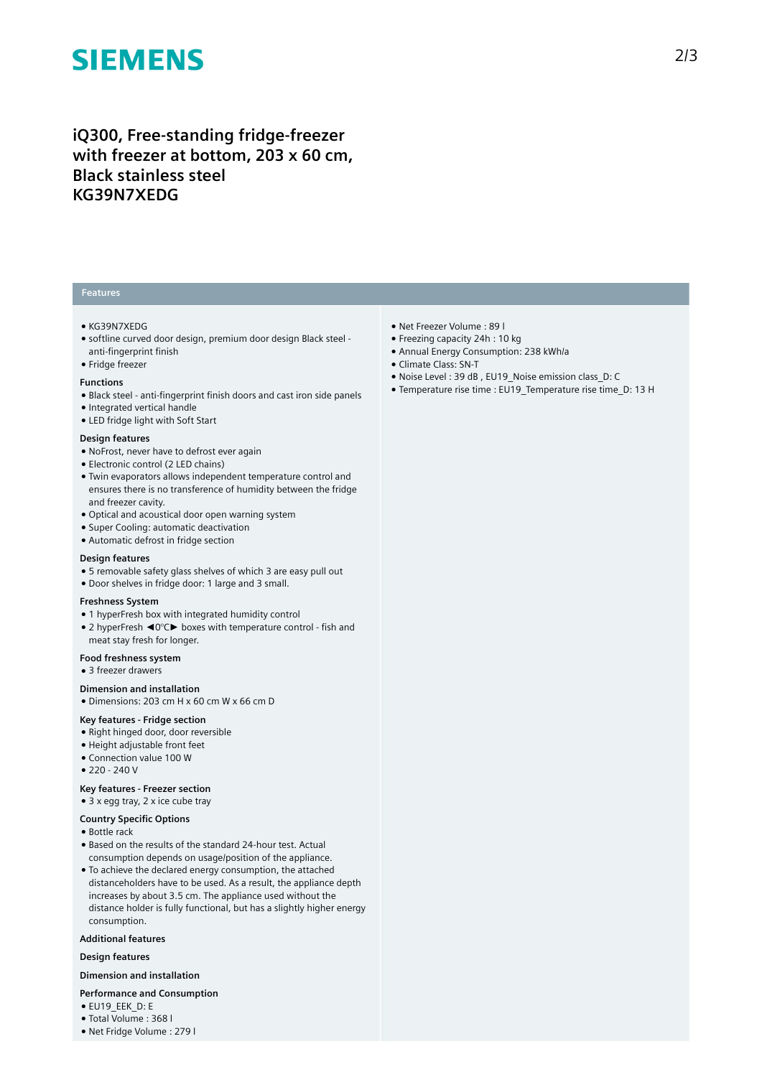# **SIEMENS**

## **iQ300, Free-standing fridge-freezer with freezer at bottom, 203 x 60 cm, Black stainless steel KG39N7XEDG**

### **Features**

- KG39N7XEDG
- softline curved door design, premium door design Black steel anti-fingerprint finish
- Fridge freezer

#### **Functions**

- Black steel anti-fingerprint finish doors and cast iron side panels
- Integrated vertical handle
- LED fridge light with Soft Start

#### **Design features**

- NoFrost, never have to defrost ever again
- Electronic control (2 LED chains)
- Twin evaporators allows independent temperature control and ensures there is no transference of humidity between the fridge and freezer cavity.
- Optical and acoustical door open warning system
- Super Cooling: automatic deactivation
- Automatic defrost in fridge section

#### **Design features**

- 5 removable safety glass shelves of which 3 are easy pull out
- Door shelves in fridge door: 1 large and 3 small.

#### **Freshness System**

- 1 hyperFresh box with integrated humidity control
- 2 hyperFresh < 0°C > boxes with temperature control fish and meat stay fresh for longer.

#### **Food freshness system**

● 3 freezer drawers

#### **Dimension and installation**

● Dimensions: 203 cm H x 60 cm W x 66 cm D

#### **Key features - Fridge section**

- Right hinged door, door reversible
- Height adjustable front feet
- Connection value 100 W
- $220 240V$

#### **Key features - Freezer section**

### ● 3 x egg tray, 2 x ice cube tray

### **Country Specific Options**

- Bottle rack
- Based on the results of the standard 24-hour test. Actual consumption depends on usage/position of the appliance.
- To achieve the declared energy consumption, the attached distanceholders have to be used. As a result, the appliance depth increases by about 3.5 cm. The appliance used without the distance holder is fully functional, but has a slightly higher energy consumption.

#### **Additional features**

#### **Design features**

#### **Dimension and installation**

- **Performance and Consumption**
- EU19\_EEK\_D: E
- Total Volume : 368 l
- Net Fridge Volume : 279 l
- Net Freezer Volume : 89 l
- Freezing capacity 24h : 10 kg
- Annual Energy Consumption: 238 kWh/a
- Climate Class: SN-T
- Noise Level : 39 dB , EU19\_Noise emission class\_D: C
- Temperature rise time : EU19\_Temperature rise time\_D: 13 H